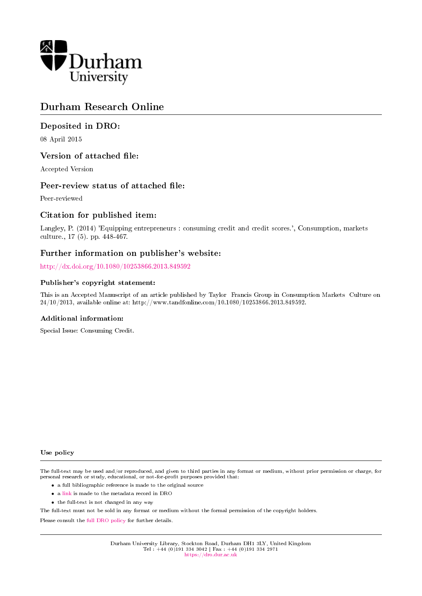

# Durham Research Online

# Deposited in DRO:

08 April 2015

# Version of attached file:

Accepted Version

# Peer-review status of attached file:

Peer-reviewed

# Citation for published item:

Langley, P. (2014) 'Equipping entrepreneurs : consuming credit and credit scores.', Consumption, markets culture., 17 (5). pp. 448-467.

# Further information on publisher's website:

<http://dx.doi.org/10.1080/10253866.2013.849592>

# Publisher's copyright statement:

This is an Accepted Manuscript of an article published by Taylor Francis Group in Consumption Markets Culture on 24/10/2013, available online at: http://www.tandfonline.com/10.1080/10253866.2013.849592.

# Additional information:

Special Issue: Consuming Credit.

#### Use policy

The full-text may be used and/or reproduced, and given to third parties in any format or medium, without prior permission or charge, for personal research or study, educational, or not-for-profit purposes provided that:

- a full bibliographic reference is made to the original source
- a [link](http://dro.dur.ac.uk/15015/) is made to the metadata record in DRO
- the full-text is not changed in any way

The full-text must not be sold in any format or medium without the formal permission of the copyright holders.

Please consult the [full DRO policy](https://dro.dur.ac.uk/policies/usepolicy.pdf) for further details.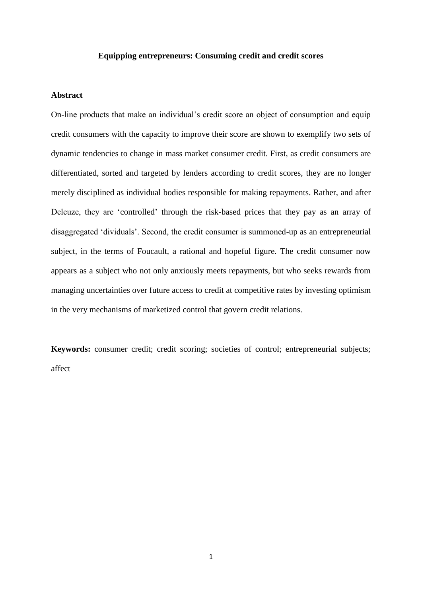### **Equipping entrepreneurs: Consuming credit and credit scores**

### **Abstract**

On-line products that make an individual's credit score an object of consumption and equip credit consumers with the capacity to improve their score are shown to exemplify two sets of dynamic tendencies to change in mass market consumer credit. First, as credit consumers are differentiated, sorted and targeted by lenders according to credit scores, they are no longer merely disciplined as individual bodies responsible for making repayments. Rather, and after Deleuze, they are 'controlled' through the risk-based prices that they pay as an array of disaggregated 'dividuals'. Second, the credit consumer is summoned-up as an entrepreneurial subject, in the terms of Foucault, a rational and hopeful figure. The credit consumer now appears as a subject who not only anxiously meets repayments, but who seeks rewards from managing uncertainties over future access to credit at competitive rates by investing optimism in the very mechanisms of marketized control that govern credit relations.

**Keywords:** consumer credit; credit scoring; societies of control; entrepreneurial subjects; affect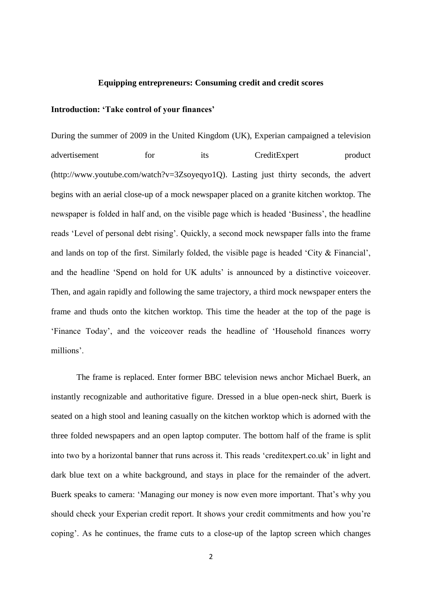# **Equipping entrepreneurs: Consuming credit and credit scores**

#### **Introduction: 'Take control of your finances'**

During the summer of 2009 in the United Kingdom (UK), Experian campaigned a television advertisement for its CreditExpert product (http://www.youtube.com/watch?v=3Zsoyeqyo1Q). Lasting just thirty seconds, the advert begins with an aerial close-up of a mock newspaper placed on a granite kitchen worktop. The newspaper is folded in half and, on the visible page which is headed 'Business', the headline reads 'Level of personal debt rising'. Quickly, a second mock newspaper falls into the frame and lands on top of the first. Similarly folded, the visible page is headed 'City & Financial', and the headline 'Spend on hold for UK adults' is announced by a distinctive voiceover. Then, and again rapidly and following the same trajectory, a third mock newspaper enters the frame and thuds onto the kitchen worktop. This time the header at the top of the page is 'Finance Today', and the voiceover reads the headline of 'Household finances worry millions'.

The frame is replaced. Enter former BBC television news anchor Michael Buerk, an instantly recognizable and authoritative figure. Dressed in a blue open-neck shirt, Buerk is seated on a high stool and leaning casually on the kitchen worktop which is adorned with the three folded newspapers and an open laptop computer. The bottom half of the frame is split into two by a horizontal banner that runs across it. This reads 'creditexpert.co.uk' in light and dark blue text on a white background, and stays in place for the remainder of the advert. Buerk speaks to camera: 'Managing our money is now even more important. That's why you should check your Experian credit report. It shows your credit commitments and how you're coping'. As he continues, the frame cuts to a close-up of the laptop screen which changes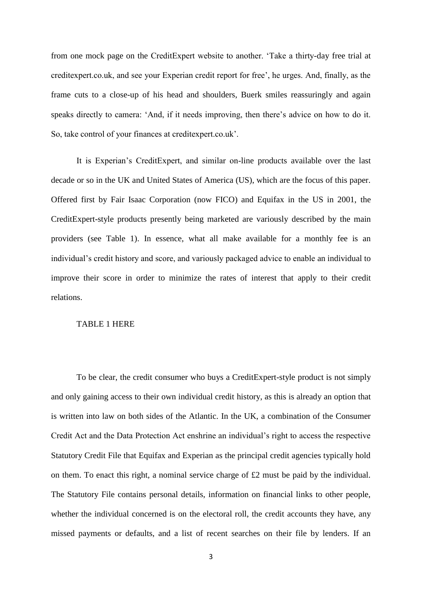from one mock page on the CreditExpert website to another. 'Take a thirty-day free trial at creditexpert.co.uk, and see your Experian credit report for free', he urges. And, finally, as the frame cuts to a close-up of his head and shoulders, Buerk smiles reassuringly and again speaks directly to camera: 'And, if it needs improving, then there's advice on how to do it. So, take control of your finances at creditexpert.co.uk'.

It is Experian's CreditExpert, and similar on-line products available over the last decade or so in the UK and United States of America (US), which are the focus of this paper. Offered first by Fair Isaac Corporation (now FICO) and Equifax in the US in 2001, the CreditExpert-style products presently being marketed are variously described by the main providers (see Table 1). In essence, what all make available for a monthly fee is an individual's credit history and score, and variously packaged advice to enable an individual to improve their score in order to minimize the rates of interest that apply to their credit relations.

#### TABLE 1 HERE

To be clear, the credit consumer who buys a CreditExpert-style product is not simply and only gaining access to their own individual credit history, as this is already an option that is written into law on both sides of the Atlantic. In the UK, a combination of the Consumer Credit Act and the Data Protection Act enshrine an individual's right to access the respective Statutory Credit File that Equifax and Experian as the principal credit agencies typically hold on them. To enact this right, a nominal service charge of  $£2$  must be paid by the individual. The Statutory File contains personal details, information on financial links to other people, whether the individual concerned is on the electoral roll, the credit accounts they have, any missed payments or defaults, and a list of recent searches on their file by lenders. If an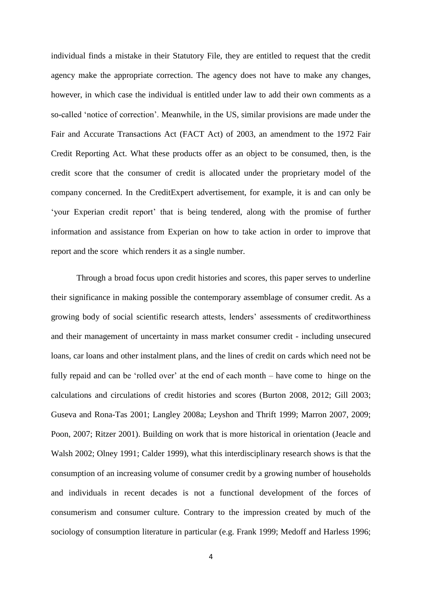individual finds a mistake in their Statutory File, they are entitled to request that the credit agency make the appropriate correction. The agency does not have to make any changes, however, in which case the individual is entitled under law to add their own comments as a so-called 'notice of correction'. Meanwhile, in the US, similar provisions are made under the Fair and Accurate Transactions Act (FACT Act) of 2003, an amendment to the 1972 Fair Credit Reporting Act. What these products offer as an object to be consumed, then, is the credit score that the consumer of credit is allocated under the proprietary model of the company concerned. In the CreditExpert advertisement, for example, it is and can only be 'your Experian credit report' that is being tendered, along with the promise of further information and assistance from Experian on how to take action in order to improve that report and the score which renders it as a single number.

Through a broad focus upon credit histories and scores, this paper serves to underline their significance in making possible the contemporary assemblage of consumer credit. As a growing body of social scientific research attests, lenders' assessments of creditworthiness and their management of uncertainty in mass market consumer credit - including unsecured loans, car loans and other instalment plans, and the lines of credit on cards which need not be fully repaid and can be 'rolled over' at the end of each month – have come to hinge on the calculations and circulations of credit histories and scores (Burton 2008, 2012; Gill 2003; Guseva and Rona-Tas 2001; Langley 2008a; Leyshon and Thrift 1999; Marron 2007, 2009; Poon, 2007; Ritzer 2001). Building on work that is more historical in orientation (Jeacle and Walsh 2002; Olney 1991; Calder 1999), what this interdisciplinary research shows is that the consumption of an increasing volume of consumer credit by a growing number of households and individuals in recent decades is not a functional development of the forces of consumerism and consumer culture. Contrary to the impression created by much of the sociology of consumption literature in particular (e.g. Frank 1999; Medoff and Harless 1996;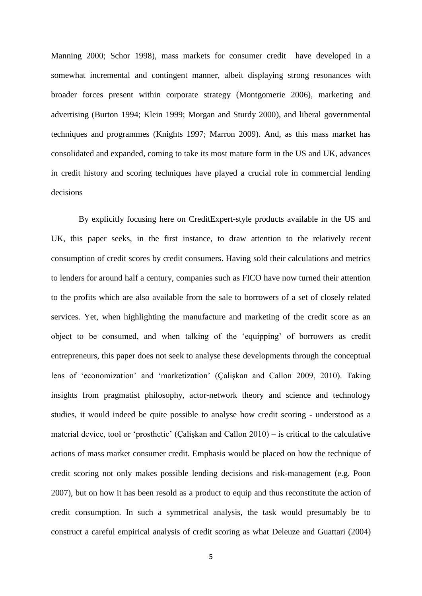Manning 2000; Schor 1998), mass markets for consumer credit have developed in a somewhat incremental and contingent manner, albeit displaying strong resonances with broader forces present within corporate strategy (Montgomerie 2006), marketing and advertising (Burton 1994; Klein 1999; Morgan and Sturdy 2000), and liberal governmental techniques and programmes (Knights 1997; Marron 2009). And, as this mass market has consolidated and expanded, coming to take its most mature form in the US and UK, advances in credit history and scoring techniques have played a crucial role in commercial lending decisions

By explicitly focusing here on CreditExpert-style products available in the US and UK, this paper seeks, in the first instance, to draw attention to the relatively recent consumption of credit scores by credit consumers. Having sold their calculations and metrics to lenders for around half a century, companies such as FICO have now turned their attention to the profits which are also available from the sale to borrowers of a set of closely related services. Yet, when highlighting the manufacture and marketing of the credit score as an object to be consumed, and when talking of the 'equipping' of borrowers as credit entrepreneurs, this paper does not seek to analyse these developments through the conceptual lens of 'economization' and 'marketization' (Ҫalişkan and Callon 2009, 2010). Taking insights from pragmatist philosophy, actor-network theory and science and technology studies, it would indeed be quite possible to analyse how credit scoring - understood as a material device, tool or 'prosthetic' (Ҫalişkan and Callon 2010) – is critical to the calculative actions of mass market consumer credit. Emphasis would be placed on how the technique of credit scoring not only makes possible lending decisions and risk-management (e.g. Poon 2007), but on how it has been resold as a product to equip and thus reconstitute the action of credit consumption. In such a symmetrical analysis, the task would presumably be to construct a careful empirical analysis of credit scoring as what Deleuze and Guattari (2004)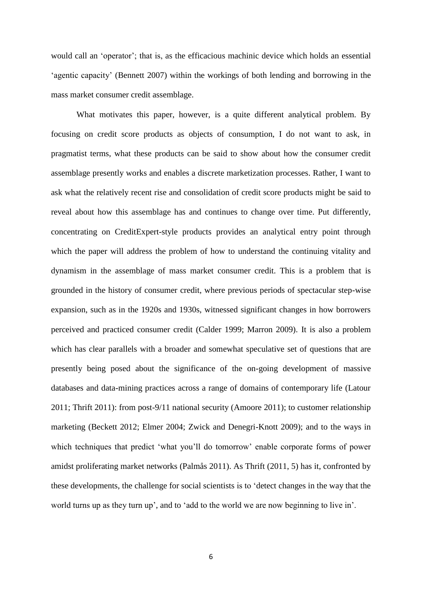would call an 'operator'; that is, as the efficacious machinic device which holds an essential 'agentic capacity' (Bennett 2007) within the workings of both lending and borrowing in the mass market consumer credit assemblage.

What motivates this paper, however, is a quite different analytical problem. By focusing on credit score products as objects of consumption, I do not want to ask, in pragmatist terms, what these products can be said to show about how the consumer credit assemblage presently works and enables a discrete marketization processes. Rather, I want to ask what the relatively recent rise and consolidation of credit score products might be said to reveal about how this assemblage has and continues to change over time. Put differently, concentrating on CreditExpert-style products provides an analytical entry point through which the paper will address the problem of how to understand the continuing vitality and dynamism in the assemblage of mass market consumer credit. This is a problem that is grounded in the history of consumer credit, where previous periods of spectacular step-wise expansion, such as in the 1920s and 1930s, witnessed significant changes in how borrowers perceived and practiced consumer credit (Calder 1999; Marron 2009). It is also a problem which has clear parallels with a broader and somewhat speculative set of questions that are presently being posed about the significance of the on-going development of massive databases and data-mining practices across a range of domains of contemporary life (Latour 2011; Thrift 2011): from post-9/11 national security (Amoore 2011); to customer relationship marketing (Beckett 2012; Elmer 2004; Zwick and Denegri-Knott 2009); and to the ways in which techniques that predict 'what you'll do tomorrow' enable corporate forms of power amidst proliferating market networks (Palmås 2011). As Thrift (2011, 5) has it, confronted by these developments, the challenge for social scientists is to 'detect changes in the way that the world turns up as they turn up', and to 'add to the world we are now beginning to live in'.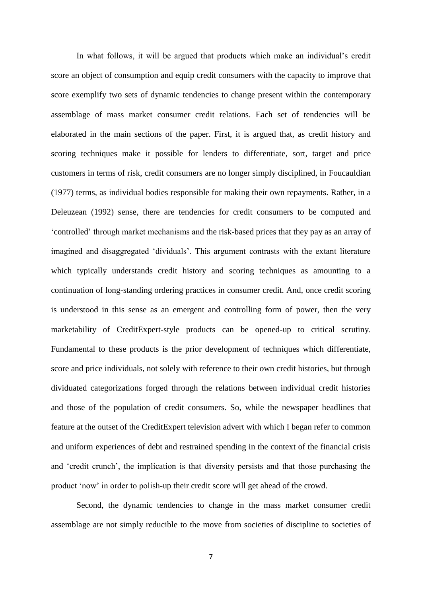In what follows, it will be argued that products which make an individual's credit score an object of consumption and equip credit consumers with the capacity to improve that score exemplify two sets of dynamic tendencies to change present within the contemporary assemblage of mass market consumer credit relations. Each set of tendencies will be elaborated in the main sections of the paper. First, it is argued that, as credit history and scoring techniques make it possible for lenders to differentiate, sort, target and price customers in terms of risk, credit consumers are no longer simply disciplined, in Foucauldian (1977) terms, as individual bodies responsible for making their own repayments. Rather, in a Deleuzean (1992) sense, there are tendencies for credit consumers to be computed and 'controlled' through market mechanisms and the risk-based prices that they pay as an array of imagined and disaggregated 'dividuals'. This argument contrasts with the extant literature which typically understands credit history and scoring techniques as amounting to a continuation of long-standing ordering practices in consumer credit. And, once credit scoring is understood in this sense as an emergent and controlling form of power, then the very marketability of CreditExpert-style products can be opened-up to critical scrutiny. Fundamental to these products is the prior development of techniques which differentiate, score and price individuals, not solely with reference to their own credit histories, but through dividuated categorizations forged through the relations between individual credit histories and those of the population of credit consumers. So, while the newspaper headlines that feature at the outset of the CreditExpert television advert with which I began refer to common and uniform experiences of debt and restrained spending in the context of the financial crisis and 'credit crunch', the implication is that diversity persists and that those purchasing the product 'now' in order to polish-up their credit score will get ahead of the crowd.

Second, the dynamic tendencies to change in the mass market consumer credit assemblage are not simply reducible to the move from societies of discipline to societies of

7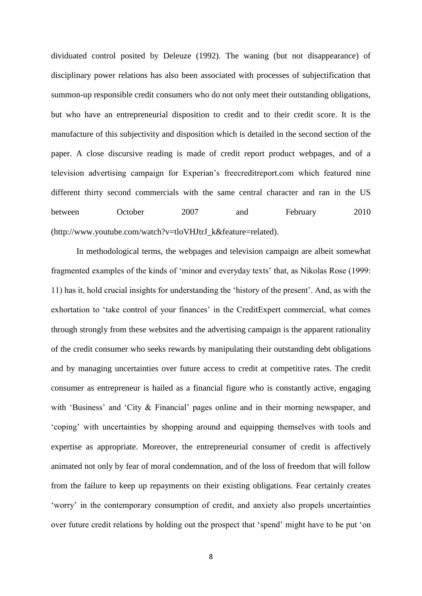dividuated control posited by Deleuze (1992). The waning (but not disappearance) of disciplinary power relations has also been associated with processes of subjectification that summon-up responsible credit consumers who do not only meet their outstanding obligations, but who have an entrepreneurial disposition to credit and to their credit score. It is the manufacture of this subjectivity and disposition which is detailed in the second section of the paper. A close discursive reading is made of credit report product webpages, and of a television advertising campaign for Experian's freecreditreport.com which featured nine different thirty second commercials with the same central character and ran in the US between October 2007 and February 2010 (http://www.youtube.com/watch?v=tloVHJtrJ\_k&feature=related).

In methodological terms, the webpages and television campaign are albeit somewhat fragmented examples of the kinds of 'minor and everyday texts' that, as Nikolas Rose (1999: 11) has it, hold crucial insights for understanding the 'history of the present'. And, as with the exhortation to 'take control of your finances' in the CreditExpert commercial, what comes through strongly from these websites and the advertising campaign is the apparent rationality of the credit consumer who seeks rewards by manipulating their outstanding debt obligations and by managing uncertainties over future access to credit at competitive rates. The credit consumer as entrepreneur is hailed as a financial figure who is constantly active, engaging with 'Business' and 'City & Financial' pages online and in their morning newspaper, and 'coping' with uncertainties by shopping around and equipping themselves with tools and expertise as appropriate. Moreover, the entrepreneurial consumer of credit is affectively animated not only by fear of moral condemnation, and of the loss of freedom that will follow from the failure to keep up repayments on their existing obligations. Fear certainly creates 'worry' in the contemporary consumption of credit, and anxiety also propels uncertainties over future credit relations by holding out the prospect that 'spend' might have to be put 'on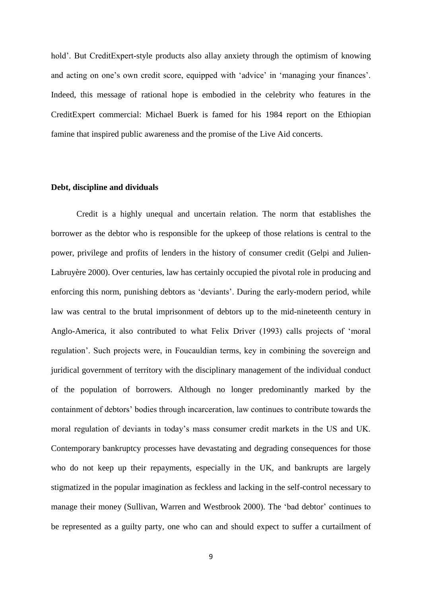hold'. But CreditExpert-style products also allay anxiety through the optimism of knowing and acting on one's own credit score, equipped with 'advice' in 'managing your finances'. Indeed, this message of rational hope is embodied in the celebrity who features in the CreditExpert commercial: Michael Buerk is famed for his 1984 report on the Ethiopian famine that inspired public awareness and the promise of the Live Aid concerts.

# **Debt, discipline and dividuals**

Credit is a highly unequal and uncertain relation. The norm that establishes the borrower as the debtor who is responsible for the upkeep of those relations is central to the power, privilege and profits of lenders in the history of consumer credit (Gelpi and Julien-Labruyère 2000). Over centuries, law has certainly occupied the pivotal role in producing and enforcing this norm, punishing debtors as 'deviants'. During the early-modern period, while law was central to the brutal imprisonment of debtors up to the mid-nineteenth century in Anglo-America, it also contributed to what Felix Driver (1993) calls projects of 'moral regulation'. Such projects were, in Foucauldian terms, key in combining the sovereign and juridical government of territory with the disciplinary management of the individual conduct of the population of borrowers. Although no longer predominantly marked by the containment of debtors' bodies through incarceration, law continues to contribute towards the moral regulation of deviants in today's mass consumer credit markets in the US and UK. Contemporary bankruptcy processes have devastating and degrading consequences for those who do not keep up their repayments, especially in the UK, and bankrupts are largely stigmatized in the popular imagination as feckless and lacking in the self-control necessary to manage their money (Sullivan, Warren and Westbrook 2000). The 'bad debtor' continues to be represented as a guilty party, one who can and should expect to suffer a curtailment of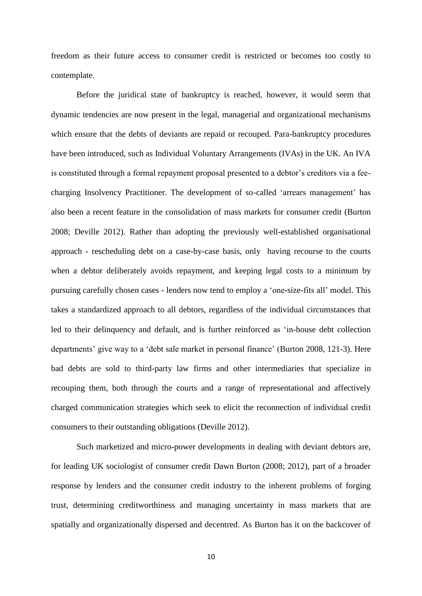freedom as their future access to consumer credit is restricted or becomes too costly to contemplate.

Before the juridical state of bankruptcy is reached, however, it would seem that dynamic tendencies are now present in the legal, managerial and organizational mechanisms which ensure that the debts of deviants are repaid or recouped. Para-bankruptcy procedures have been introduced, such as Individual Voluntary Arrangements (IVAs) in the UK. An IVA is constituted through a formal repayment proposal presented to a debtor's creditors via a feecharging Insolvency Practitioner. The development of so-called 'arrears management' has also been a recent feature in the consolidation of mass markets for consumer credit (Burton 2008; Deville 2012). Rather than adopting the previously well-established organisational approach - rescheduling debt on a case-by-case basis, only having recourse to the courts when a debtor deliberately avoids repayment, and keeping legal costs to a minimum by pursuing carefully chosen cases - lenders now tend to employ a 'one-size-fits all' model. This takes a standardized approach to all debtors, regardless of the individual circumstances that led to their delinquency and default, and is further reinforced as 'in-house debt collection departments' give way to a 'debt sale market in personal finance' (Burton 2008, 121-3). Here bad debts are sold to third-party law firms and other intermediaries that specialize in recouping them, both through the courts and a range of representational and affectively charged communication strategies which seek to elicit the reconnection of individual credit consumers to their outstanding obligations (Deville 2012).

Such marketized and micro-power developments in dealing with deviant debtors are, for leading UK sociologist of consumer credit Dawn Burton (2008; 2012), part of a broader response by lenders and the consumer credit industry to the inherent problems of forging trust, determining creditworthiness and managing uncertainty in mass markets that are spatially and organizationally dispersed and decentred. As Burton has it on the backcover of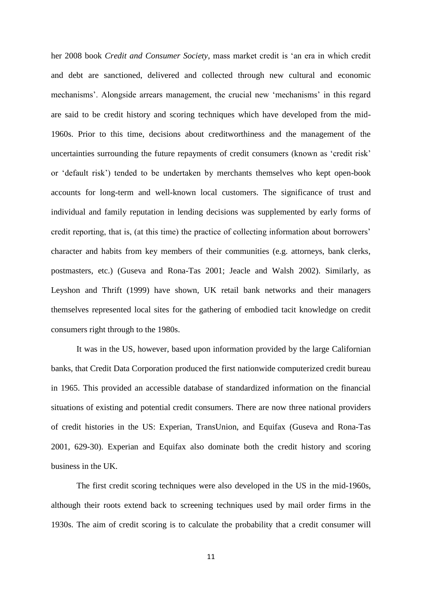her 2008 book *Credit and Consumer Society*, mass market credit is 'an era in which credit and debt are sanctioned, delivered and collected through new cultural and economic mechanisms'. Alongside arrears management, the crucial new 'mechanisms' in this regard are said to be credit history and scoring techniques which have developed from the mid-1960s. Prior to this time, decisions about creditworthiness and the management of the uncertainties surrounding the future repayments of credit consumers (known as 'credit risk' or 'default risk') tended to be undertaken by merchants themselves who kept open-book accounts for long-term and well-known local customers. The significance of trust and individual and family reputation in lending decisions was supplemented by early forms of credit reporting, that is, (at this time) the practice of collecting information about borrowers' character and habits from key members of their communities (e.g. attorneys, bank clerks, postmasters, etc.) (Guseva and Rona-Tas 2001; Jeacle and Walsh 2002). Similarly, as Leyshon and Thrift (1999) have shown, UK retail bank networks and their managers themselves represented local sites for the gathering of embodied tacit knowledge on credit consumers right through to the 1980s.

It was in the US, however, based upon information provided by the large Californian banks, that Credit Data Corporation produced the first nationwide computerized credit bureau in 1965. This provided an accessible database of standardized information on the financial situations of existing and potential credit consumers. There are now three national providers of credit histories in the US: Experian, TransUnion, and Equifax (Guseva and Rona-Tas 2001, 629-30). Experian and Equifax also dominate both the credit history and scoring business in the UK.

The first credit scoring techniques were also developed in the US in the mid-1960s, although their roots extend back to screening techniques used by mail order firms in the 1930s. The aim of credit scoring is to calculate the probability that a credit consumer will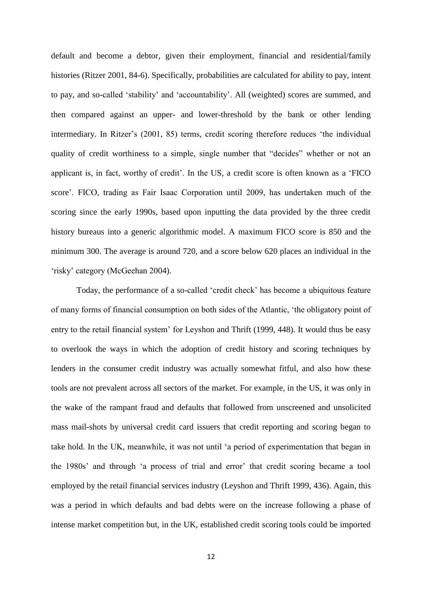default and become a debtor, given their employment, financial and residential/family histories (Ritzer 2001, 84-6). Specifically, probabilities are calculated for ability to pay, intent to pay, and so-called 'stability' and 'accountability'. All (weighted) scores are summed, and then compared against an upper- and lower-threshold by the bank or other lending intermediary. In Ritzer's (2001, 85) terms, credit scoring therefore reduces 'the individual quality of credit worthiness to a simple, single number that "decides" whether or not an applicant is, in fact, worthy of credit'. In the US, a credit score is often known as a 'FICO score'. FICO, trading as Fair Isaac Corporation until 2009, has undertaken much of the scoring since the early 1990s, based upon inputting the data provided by the three credit history bureaus into a generic algorithmic model. A maximum FICO score is 850 and the minimum 300. The average is around 720, and a score below 620 places an individual in the 'risky' category (McGeehan 2004).

Today, the performance of a so-called 'credit check' has become a ubiquitous feature of many forms of financial consumption on both sides of the Atlantic, 'the obligatory point of entry to the retail financial system' for Leyshon and Thrift (1999, 448). It would thus be easy to overlook the ways in which the adoption of credit history and scoring techniques by lenders in the consumer credit industry was actually somewhat fitful, and also how these tools are not prevalent across all sectors of the market. For example, in the US, it was only in the wake of the rampant fraud and defaults that followed from unscreened and unsolicited mass mail-shots by universal credit card issuers that credit reporting and scoring began to take hold. In the UK, meanwhile, it was not until 'a period of experimentation that began in the 1980s' and through 'a process of trial and error' that credit scoring became a tool employed by the retail financial services industry (Leyshon and Thrift 1999, 436). Again, this was a period in which defaults and bad debts were on the increase following a phase of intense market competition but, in the UK, established credit scoring tools could be imported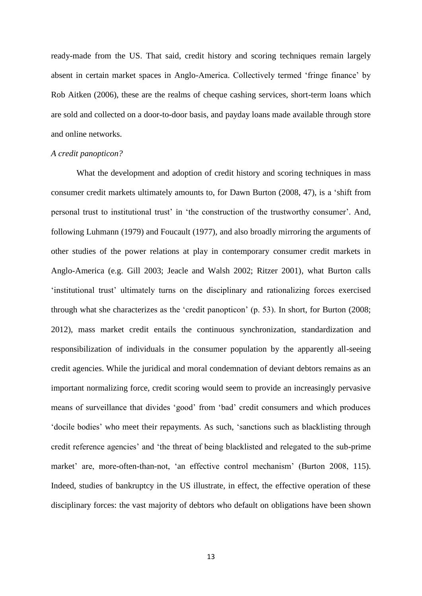ready-made from the US. That said, credit history and scoring techniques remain largely absent in certain market spaces in Anglo-America. Collectively termed 'fringe finance' by Rob Aitken (2006), these are the realms of cheque cashing services, short-term loans which are sold and collected on a door-to-door basis, and payday loans made available through store and online networks.

# *A credit panopticon?*

What the development and adoption of credit history and scoring techniques in mass consumer credit markets ultimately amounts to, for Dawn Burton (2008, 47), is a 'shift from personal trust to institutional trust' in 'the construction of the trustworthy consumer'. And, following Luhmann (1979) and Foucault (1977), and also broadly mirroring the arguments of other studies of the power relations at play in contemporary consumer credit markets in Anglo-America (e.g. Gill 2003; Jeacle and Walsh 2002; Ritzer 2001), what Burton calls 'institutional trust' ultimately turns on the disciplinary and rationalizing forces exercised through what she characterizes as the 'credit panopticon' (p. 53). In short, for Burton (2008; 2012), mass market credit entails the continuous synchronization, standardization and responsibilization of individuals in the consumer population by the apparently all-seeing credit agencies. While the juridical and moral condemnation of deviant debtors remains as an important normalizing force, credit scoring would seem to provide an increasingly pervasive means of surveillance that divides 'good' from 'bad' credit consumers and which produces 'docile bodies' who meet their repayments. As such, 'sanctions such as blacklisting through credit reference agencies' and 'the threat of being blacklisted and relegated to the sub-prime market' are, more-often-than-not, 'an effective control mechanism' (Burton 2008, 115). Indeed, studies of bankruptcy in the US illustrate, in effect, the effective operation of these disciplinary forces: the vast majority of debtors who default on obligations have been shown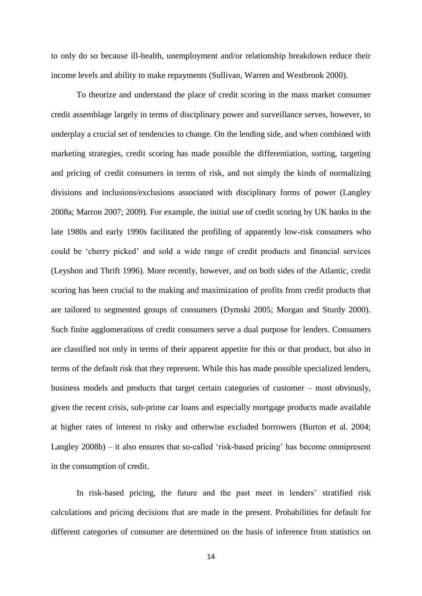to only do so because ill-health, unemployment and/or relationship breakdown reduce their income levels and ability to make repayments (Sullivan, Warren and Westbrook 2000).

To theorize and understand the place of credit scoring in the mass market consumer credit assemblage largely in terms of disciplinary power and surveillance serves, however, to underplay a crucial set of tendencies to change. On the lending side, and when combined with marketing strategies, credit scoring has made possible the differentiation, sorting, targeting and pricing of credit consumers in terms of risk, and not simply the kinds of normalizing divisions and inclusions/exclusions associated with disciplinary forms of power (Langley 2008a; Marron 2007; 2009). For example, the initial use of credit scoring by UK banks in the late 1980s and early 1990s facilitated the profiling of apparently low-risk consumers who could be 'cherry picked' and sold a wide range of credit products and financial services (Leyshon and Thrift 1996). More recently, however, and on both sides of the Atlantic, credit scoring has been crucial to the making and maximization of profits from credit products that are tailored to segmented groups of consumers (Dymski 2005; Morgan and Sturdy 2000). Such finite agglomerations of credit consumers serve a dual purpose for lenders. Consumers are classified not only in terms of their apparent appetite for this or that product, but also in terms of the default risk that they represent. While this has made possible specialized lenders, business models and products that target certain categories of customer – most obviously, given the recent crisis, sub-prime car loans and especially mortgage products made available at higher rates of interest to risky and otherwise excluded borrowers (Burton et al. 2004; Langley 2008b) – it also ensures that so-called 'risk-based pricing' has become omnipresent in the consumption of credit.

In risk-based pricing, the future and the past meet in lenders' stratified risk calculations and pricing decisions that are made in the present. Probabilities for default for different categories of consumer are determined on the basis of inference from statistics on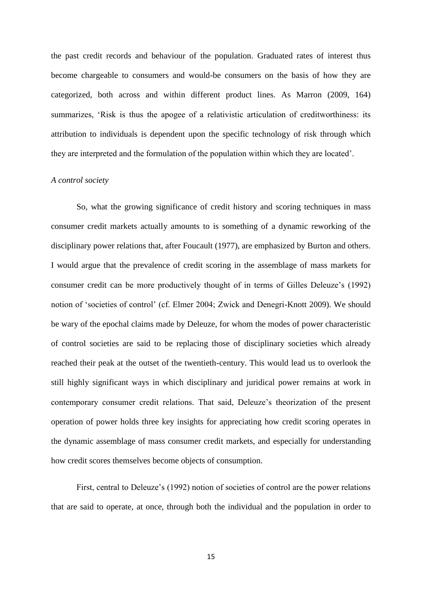the past credit records and behaviour of the population. Graduated rates of interest thus become chargeable to consumers and would-be consumers on the basis of how they are categorized, both across and within different product lines. As Marron (2009, 164) summarizes, 'Risk is thus the apogee of a relativistic articulation of creditworthiness: its attribution to individuals is dependent upon the specific technology of risk through which they are interpreted and the formulation of the population within which they are located'.

#### *A control society*

So, what the growing significance of credit history and scoring techniques in mass consumer credit markets actually amounts to is something of a dynamic reworking of the disciplinary power relations that, after Foucault (1977), are emphasized by Burton and others. I would argue that the prevalence of credit scoring in the assemblage of mass markets for consumer credit can be more productively thought of in terms of Gilles Deleuze's (1992) notion of 'societies of control' (cf. Elmer 2004; Zwick and Denegri-Knott 2009). We should be wary of the epochal claims made by Deleuze, for whom the modes of power characteristic of control societies are said to be replacing those of disciplinary societies which already reached their peak at the outset of the twentieth-century. This would lead us to overlook the still highly significant ways in which disciplinary and juridical power remains at work in contemporary consumer credit relations. That said, Deleuze's theorization of the present operation of power holds three key insights for appreciating how credit scoring operates in the dynamic assemblage of mass consumer credit markets, and especially for understanding how credit scores themselves become objects of consumption.

First, central to Deleuze's (1992) notion of societies of control are the power relations that are said to operate, at once, through both the individual and the population in order to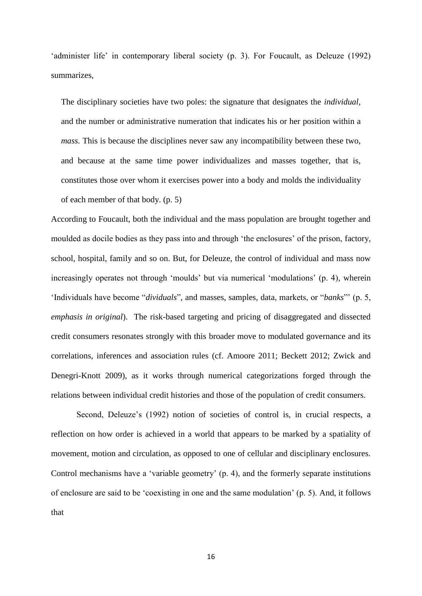'administer life' in contemporary liberal society (p. 3). For Foucault, as Deleuze (1992) summarizes,

The disciplinary societies have two poles: the signature that designates the *individual,*  and the number or administrative numeration that indicates his or her position within a *mass.* This is because the disciplines never saw any incompatibility between these two, and because at the same time power individualizes and masses together, that is, constitutes those over whom it exercises power into a body and molds the individuality of each member of that body. (p. 5)

According to Foucault, both the individual and the mass population are brought together and moulded as docile bodies as they pass into and through 'the enclosures' of the prison, factory, school, hospital, family and so on. But, for Deleuze, the control of individual and mass now increasingly operates not through 'moulds' but via numerical 'modulations' (p. 4), wherein 'Individuals have become "*dividuals*", and masses, samples, data, markets, or "*banks*"' (p. 5, *emphasis in original*). The risk-based targeting and pricing of disaggregated and dissected credit consumers resonates strongly with this broader move to modulated governance and its correlations, inferences and association rules (cf. Amoore 2011; Beckett 2012; Zwick and Denegri-Knott 2009), as it works through numerical categorizations forged through the relations between individual credit histories and those of the population of credit consumers.

Second, Deleuze's (1992) notion of societies of control is, in crucial respects, a reflection on how order is achieved in a world that appears to be marked by a spatiality of movement, motion and circulation, as opposed to one of cellular and disciplinary enclosures. Control mechanisms have a 'variable geometry' (p. 4), and the formerly separate institutions of enclosure are said to be 'coexisting in one and the same modulation' (p. 5). And, it follows that

16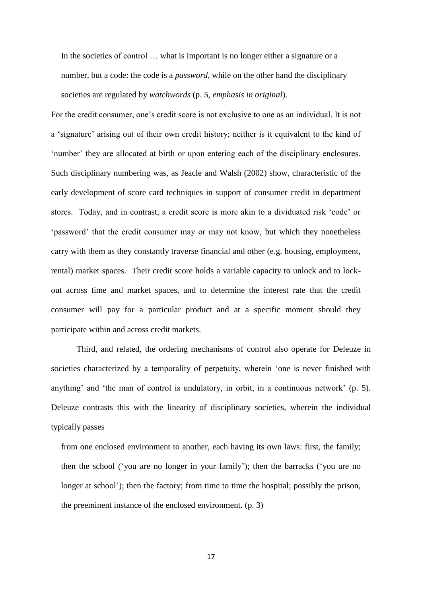In the societies of control … what is important is no longer either a signature or a number, but a code: the code is a *password,* while on the other hand the disciplinary societies are regulated by *watchwords* (p. 5, *emphasis in original*).

For the credit consumer, one's credit score is not exclusive to one as an individual. It is not a 'signature' arising out of their own credit history; neither is it equivalent to the kind of 'number' they are allocated at birth or upon entering each of the disciplinary enclosures. Such disciplinary numbering was, as Jeacle and Walsh (2002) show, characteristic of the early development of score card techniques in support of consumer credit in department stores. Today, and in contrast, a credit score is more akin to a dividuated risk 'code' or 'password' that the credit consumer may or may not know, but which they nonetheless carry with them as they constantly traverse financial and other (e.g. housing, employment, rental) market spaces. Their credit score holds a variable capacity to unlock and to lockout across time and market spaces, and to determine the interest rate that the credit consumer will pay for a particular product and at a specific moment should they participate within and across credit markets.

Third, and related, the ordering mechanisms of control also operate for Deleuze in societies characterized by a temporality of perpetuity, wherein 'one is never finished with anything' and 'the man of control is undulatory, in orbit, in a continuous network' (p. 5). Deleuze contrasts this with the linearity of disciplinary societies, wherein the individual typically passes

from one enclosed environment to another, each having its own laws: first, the family; then the school ('you are no longer in your family'); then the barracks ('you are no longer at school'); then the factory; from time to time the hospital; possibly the prison, the preeminent instance of the enclosed environment. (p. 3)

17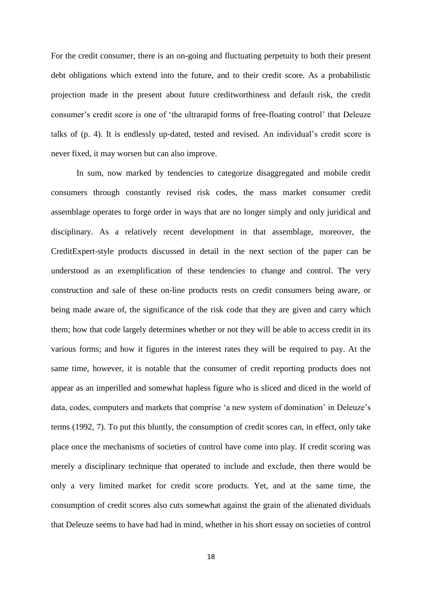For the credit consumer, there is an on-going and fluctuating perpetuity to both their present debt obligations which extend into the future, and to their credit score. As a probabilistic projection made in the present about future creditworthiness and default risk, the credit consumer's credit score is one of 'the ultrarapid forms of free-floating control' that Deleuze talks of (p. 4). It is endlessly up-dated, tested and revised. An individual's credit score is never fixed, it may worsen but can also improve.

In sum, now marked by tendencies to categorize disaggregated and mobile credit consumers through constantly revised risk codes, the mass market consumer credit assemblage operates to forge order in ways that are no longer simply and only juridical and disciplinary. As a relatively recent development in that assemblage, moreover, the CreditExpert-style products discussed in detail in the next section of the paper can be understood as an exemplification of these tendencies to change and control. The very construction and sale of these on-line products rests on credit consumers being aware, or being made aware of, the significance of the risk code that they are given and carry which them; how that code largely determines whether or not they will be able to access credit in its various forms; and how it figures in the interest rates they will be required to pay. At the same time, however, it is notable that the consumer of credit reporting products does not appear as an imperilled and somewhat hapless figure who is sliced and diced in the world of data, codes, computers and markets that comprise 'a new system of domination' in Deleuze's terms (1992, 7). To put this bluntly, the consumption of credit scores can, in effect, only take place once the mechanisms of societies of control have come into play. If credit scoring was merely a disciplinary technique that operated to include and exclude, then there would be only a very limited market for credit score products. Yet, and at the same time, the consumption of credit scores also cuts somewhat against the grain of the alienated dividuals that Deleuze seems to have had had in mind, whether in his short essay on societies of control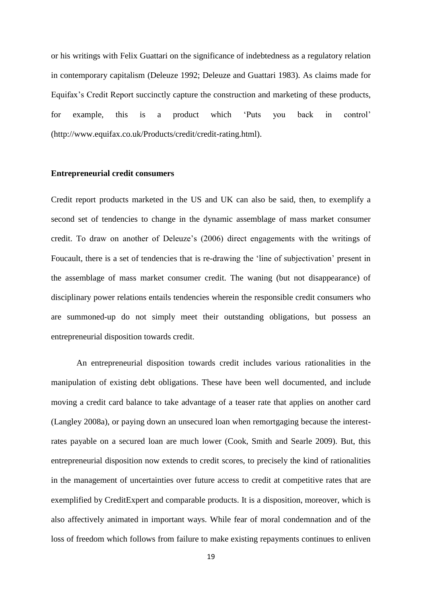or his writings with Felix Guattari on the significance of indebtedness as a regulatory relation in contemporary capitalism (Deleuze 1992; Deleuze and Guattari 1983). As claims made for Equifax's Credit Report succinctly capture the construction and marketing of these products, for example, this is a product which 'Puts you back in control' (http://www.equifax.co.uk/Products/credit/credit-rating.html).

# **Entrepreneurial credit consumers**

Credit report products marketed in the US and UK can also be said, then, to exemplify a second set of tendencies to change in the dynamic assemblage of mass market consumer credit. To draw on another of Deleuze's (2006) direct engagements with the writings of Foucault, there is a set of tendencies that is re-drawing the 'line of subjectivation' present in the assemblage of mass market consumer credit. The waning (but not disappearance) of disciplinary power relations entails tendencies wherein the responsible credit consumers who are summoned-up do not simply meet their outstanding obligations, but possess an entrepreneurial disposition towards credit.

An entrepreneurial disposition towards credit includes various rationalities in the manipulation of existing debt obligations. These have been well documented, and include moving a credit card balance to take advantage of a teaser rate that applies on another card (Langley 2008a), or paying down an unsecured loan when remortgaging because the interestrates payable on a secured loan are much lower (Cook, Smith and Searle 2009). But, this entrepreneurial disposition now extends to credit scores, to precisely the kind of rationalities in the management of uncertainties over future access to credit at competitive rates that are exemplified by CreditExpert and comparable products. It is a disposition, moreover, which is also affectively animated in important ways. While fear of moral condemnation and of the loss of freedom which follows from failure to make existing repayments continues to enliven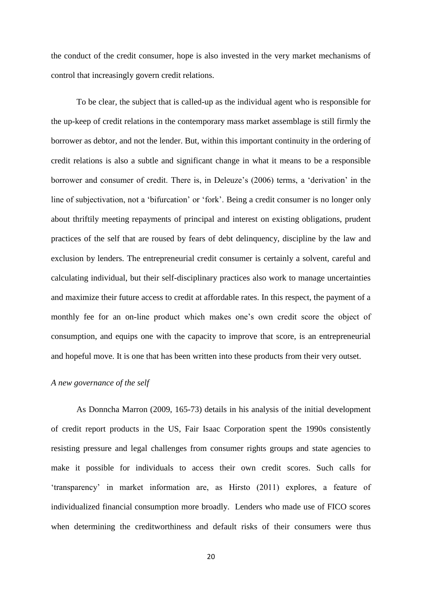the conduct of the credit consumer, hope is also invested in the very market mechanisms of control that increasingly govern credit relations.

To be clear, the subject that is called-up as the individual agent who is responsible for the up-keep of credit relations in the contemporary mass market assemblage is still firmly the borrower as debtor, and not the lender. But, within this important continuity in the ordering of credit relations is also a subtle and significant change in what it means to be a responsible borrower and consumer of credit. There is, in Deleuze's (2006) terms, a 'derivation' in the line of subjectivation, not a 'bifurcation' or 'fork'. Being a credit consumer is no longer only about thriftily meeting repayments of principal and interest on existing obligations, prudent practices of the self that are roused by fears of debt delinquency, discipline by the law and exclusion by lenders. The entrepreneurial credit consumer is certainly a solvent, careful and calculating individual, but their self-disciplinary practices also work to manage uncertainties and maximize their future access to credit at affordable rates. In this respect, the payment of a monthly fee for an on-line product which makes one's own credit score the object of consumption, and equips one with the capacity to improve that score, is an entrepreneurial and hopeful move. It is one that has been written into these products from their very outset.

## *A new governance of the self*

As Donncha Marron (2009, 165-73) details in his analysis of the initial development of credit report products in the US, Fair Isaac Corporation spent the 1990s consistently resisting pressure and legal challenges from consumer rights groups and state agencies to make it possible for individuals to access their own credit scores. Such calls for 'transparency' in market information are, as Hirsto (2011) explores, a feature of individualized financial consumption more broadly. Lenders who made use of FICO scores when determining the creditworthiness and default risks of their consumers were thus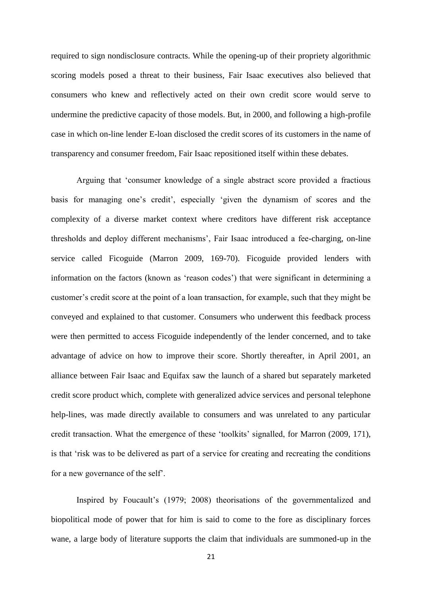required to sign nondisclosure contracts. While the opening-up of their propriety algorithmic scoring models posed a threat to their business, Fair Isaac executives also believed that consumers who knew and reflectively acted on their own credit score would serve to undermine the predictive capacity of those models. But, in 2000, and following a high-profile case in which on-line lender E-loan disclosed the credit scores of its customers in the name of transparency and consumer freedom, Fair Isaac repositioned itself within these debates.

Arguing that 'consumer knowledge of a single abstract score provided a fractious basis for managing one's credit', especially 'given the dynamism of scores and the complexity of a diverse market context where creditors have different risk acceptance thresholds and deploy different mechanisms', Fair Isaac introduced a fee-charging, on-line service called Ficoguide (Marron 2009, 169-70). Ficoguide provided lenders with information on the factors (known as 'reason codes') that were significant in determining a customer's credit score at the point of a loan transaction, for example, such that they might be conveyed and explained to that customer. Consumers who underwent this feedback process were then permitted to access Ficoguide independently of the lender concerned, and to take advantage of advice on how to improve their score. Shortly thereafter, in April 2001, an alliance between Fair Isaac and Equifax saw the launch of a shared but separately marketed credit score product which, complete with generalized advice services and personal telephone help-lines, was made directly available to consumers and was unrelated to any particular credit transaction. What the emergence of these 'toolkits' signalled, for Marron (2009, 171), is that 'risk was to be delivered as part of a service for creating and recreating the conditions for a new governance of the self'.

Inspired by Foucault's (1979; 2008) theorisations of the governmentalized and biopolitical mode of power that for him is said to come to the fore as disciplinary forces wane, a large body of literature supports the claim that individuals are summoned-up in the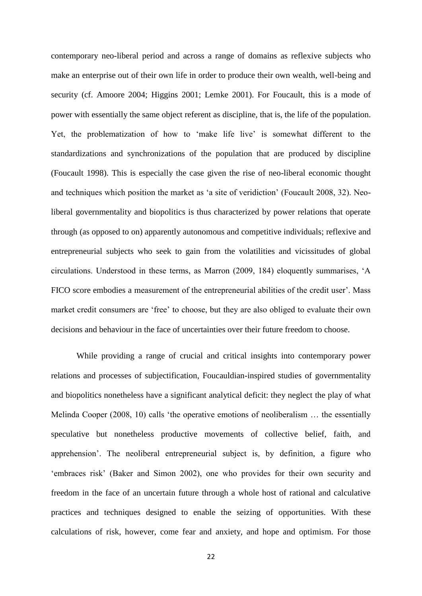contemporary neo-liberal period and across a range of domains as reflexive subjects who make an enterprise out of their own life in order to produce their own wealth, well-being and security (cf. Amoore 2004; Higgins 2001; Lemke 2001). For Foucault, this is a mode of power with essentially the same object referent as discipline, that is, the life of the population. Yet, the problematization of how to 'make life live' is somewhat different to the standardizations and synchronizations of the population that are produced by discipline (Foucault 1998). This is especially the case given the rise of neo-liberal economic thought and techniques which position the market as 'a site of veridiction' (Foucault 2008, 32). Neoliberal governmentality and biopolitics is thus characterized by power relations that operate through (as opposed to on) apparently autonomous and competitive individuals; reflexive and entrepreneurial subjects who seek to gain from the volatilities and vicissitudes of global circulations. Understood in these terms, as Marron (2009, 184) eloquently summarises, 'A FICO score embodies a measurement of the entrepreneurial abilities of the credit user'. Mass market credit consumers are 'free' to choose, but they are also obliged to evaluate their own decisions and behaviour in the face of uncertainties over their future freedom to choose.

While providing a range of crucial and critical insights into contemporary power relations and processes of subjectification, Foucauldian-inspired studies of governmentality and biopolitics nonetheless have a significant analytical deficit: they neglect the play of what Melinda Cooper (2008, 10) calls 'the operative emotions of neoliberalism … the essentially speculative but nonetheless productive movements of collective belief, faith, and apprehension'. The neoliberal entrepreneurial subject is, by definition, a figure who 'embraces risk' (Baker and Simon 2002), one who provides for their own security and freedom in the face of an uncertain future through a whole host of rational and calculative practices and techniques designed to enable the seizing of opportunities. With these calculations of risk, however, come fear and anxiety, and hope and optimism. For those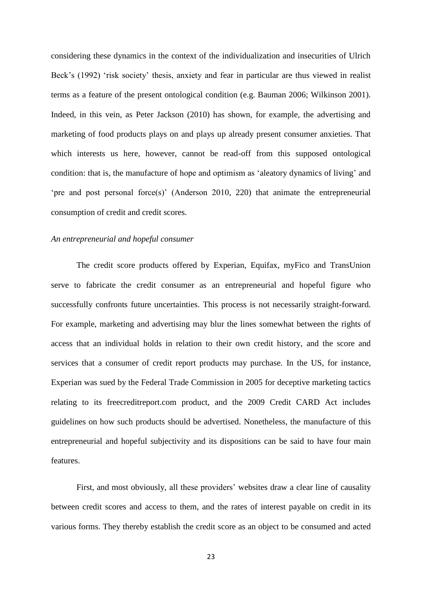considering these dynamics in the context of the individualization and insecurities of Ulrich Beck's (1992) 'risk society' thesis, anxiety and fear in particular are thus viewed in realist terms as a feature of the present ontological condition (e.g. Bauman 2006; Wilkinson 2001). Indeed, in this vein, as Peter Jackson (2010) has shown, for example, the advertising and marketing of food products plays on and plays up already present consumer anxieties. That which interests us here, however, cannot be read-off from this supposed ontological condition: that is, the manufacture of hope and optimism as 'aleatory dynamics of living' and 'pre and post personal force(s)' (Anderson 2010, 220) that animate the entrepreneurial consumption of credit and credit scores.

#### *An entrepreneurial and hopeful consumer*

The credit score products offered by Experian, Equifax, myFico and TransUnion serve to fabricate the credit consumer as an entrepreneurial and hopeful figure who successfully confronts future uncertainties. This process is not necessarily straight-forward. For example, marketing and advertising may blur the lines somewhat between the rights of access that an individual holds in relation to their own credit history, and the score and services that a consumer of credit report products may purchase. In the US, for instance, Experian was sued by the Federal Trade Commission in 2005 for deceptive marketing tactics relating to its freecreditreport.com product, and the 2009 Credit CARD Act includes guidelines on how such products should be advertised. Nonetheless, the manufacture of this entrepreneurial and hopeful subjectivity and its dispositions can be said to have four main features.

First, and most obviously, all these providers' websites draw a clear line of causality between credit scores and access to them, and the rates of interest payable on credit in its various forms. They thereby establish the credit score as an object to be consumed and acted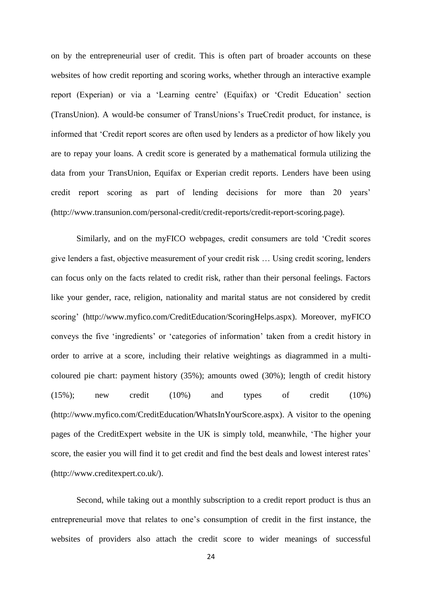on by the entrepreneurial user of credit. This is often part of broader accounts on these websites of how credit reporting and scoring works, whether through an interactive example report (Experian) or via a 'Learning centre' (Equifax) or 'Credit Education' section (TransUnion). A would-be consumer of TransUnions's TrueCredit product, for instance, is informed that 'Credit report scores are often used by lenders as a predictor of how likely you are to repay your loans. A credit score is generated by a mathematical formula utilizing the data from your TransUnion, Equifax or Experian credit reports. Lenders have been using credit report scoring as part of lending decisions for more than 20 years' (http://www.transunion.com/personal-credit/credit-reports/credit-report-scoring.page).

Similarly, and on the myFICO webpages, credit consumers are told 'Credit scores give lenders a fast, objective measurement of your credit risk … Using credit scoring, lenders can focus only on the facts related to credit risk, rather than their personal feelings. Factors like your gender, race, religion, nationality and marital status are not considered by credit scoring' (http://www.myfico.com/CreditEducation/ScoringHelps.aspx). Moreover, myFICO conveys the five 'ingredients' or 'categories of information' taken from a credit history in order to arrive at a score, including their relative weightings as diagrammed in a multicoloured pie chart: payment history (35%); amounts owed (30%); length of credit history (15%); new credit (10%) and types of credit (10%) (http://www.myfico.com/CreditEducation/WhatsInYourScore.aspx). A visitor to the opening pages of the CreditExpert website in the UK is simply told, meanwhile, 'The higher your score, the easier you will find it to get credit and find the best deals and lowest interest rates' (http://www.creditexpert.co.uk/).

Second, while taking out a monthly subscription to a credit report product is thus an entrepreneurial move that relates to one's consumption of credit in the first instance, the websites of providers also attach the credit score to wider meanings of successful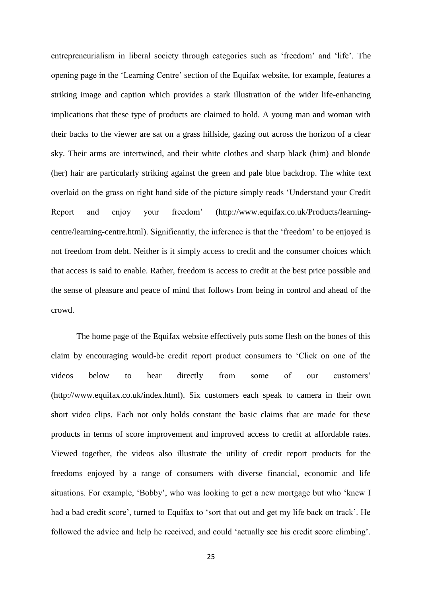entrepreneurialism in liberal society through categories such as 'freedom' and 'life'. The opening page in the 'Learning Centre' section of the Equifax website, for example, features a striking image and caption which provides a stark illustration of the wider life-enhancing implications that these type of products are claimed to hold. A young man and woman with their backs to the viewer are sat on a grass hillside, gazing out across the horizon of a clear sky. Their arms are intertwined, and their white clothes and sharp black (him) and blonde (her) hair are particularly striking against the green and pale blue backdrop. The white text overlaid on the grass on right hand side of the picture simply reads 'Understand your Credit Report and enjoy your freedom' (http://www.equifax.co.uk/Products/learningcentre/learning-centre.html). Significantly, the inference is that the 'freedom' to be enjoyed is not freedom from debt. Neither is it simply access to credit and the consumer choices which that access is said to enable. Rather, freedom is access to credit at the best price possible and the sense of pleasure and peace of mind that follows from being in control and ahead of the crowd.

The home page of the Equifax website effectively puts some flesh on the bones of this claim by encouraging would-be credit report product consumers to 'Click on one of the videos below to hear directly from some of our customers' (http://www.equifax.co.uk/index.html). Six customers each speak to camera in their own short video clips. Each not only holds constant the basic claims that are made for these products in terms of score improvement and improved access to credit at affordable rates. Viewed together, the videos also illustrate the utility of credit report products for the freedoms enjoyed by a range of consumers with diverse financial, economic and life situations. For example, 'Bobby', who was looking to get a new mortgage but who 'knew I had a bad credit score', turned to Equifax to 'sort that out and get my life back on track'. He followed the advice and help he received, and could 'actually see his credit score climbing'.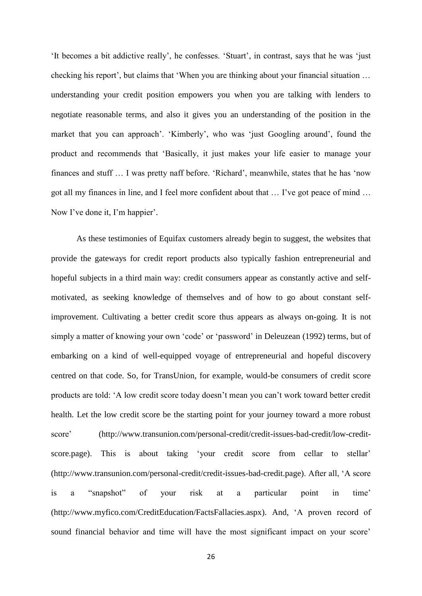'It becomes a bit addictive really', he confesses. 'Stuart', in contrast, says that he was 'just checking his report', but claims that 'When you are thinking about your financial situation … understanding your credit position empowers you when you are talking with lenders to negotiate reasonable terms, and also it gives you an understanding of the position in the market that you can approach'. 'Kimberly', who was 'just Googling around', found the product and recommends that 'Basically, it just makes your life easier to manage your finances and stuff … I was pretty naff before. 'Richard', meanwhile, states that he has 'now got all my finances in line, and I feel more confident about that … I've got peace of mind … Now I've done it, I'm happier'.

As these testimonies of Equifax customers already begin to suggest, the websites that provide the gateways for credit report products also typically fashion entrepreneurial and hopeful subjects in a third main way: credit consumers appear as constantly active and selfmotivated, as seeking knowledge of themselves and of how to go about constant selfimprovement. Cultivating a better credit score thus appears as always on-going. It is not simply a matter of knowing your own 'code' or 'password' in Deleuzean (1992) terms, but of embarking on a kind of well-equipped voyage of entrepreneurial and hopeful discovery centred on that code. So, for TransUnion, for example, would-be consumers of credit score products are told: 'A low credit score today doesn't mean you can't work toward better credit health. Let the low credit score be the starting point for your journey toward a more robust score' (http://www.transunion.com/personal-credit/credit-issues-bad-credit/low-creditscore.page). This is about taking 'your credit score from cellar to stellar' (http://www.transunion.com/personal-credit/credit-issues-bad-credit.page). After all, 'A score is a "snapshot" of your risk at a particular point in time' (http://www.myfico.com/CreditEducation/FactsFallacies.aspx). And, 'A proven record of sound financial behavior and time will have the most significant impact on your score'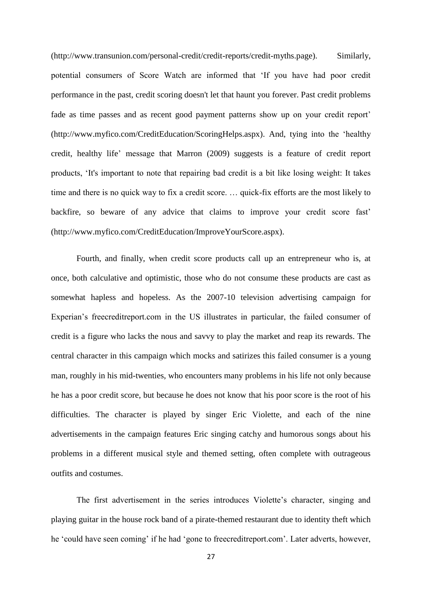(http://www.transunion.com/personal-credit/credit-reports/credit-myths.page). Similarly, potential consumers of Score Watch are informed that 'If you have had poor credit performance in the past, credit scoring doesn't let that haunt you forever. Past credit problems fade as time passes and as recent good payment patterns show up on your credit report' (http://www.myfico.com/CreditEducation/ScoringHelps.aspx). And, tying into the 'healthy credit, healthy life' message that Marron (2009) suggests is a feature of credit report products, 'It's important to note that repairing bad credit is a bit like losing weight: It takes time and there is no quick way to fix a credit score. … quick-fix efforts are the most likely to backfire, so beware of any advice that claims to improve your credit score fast' (http://www.myfico.com/CreditEducation/ImproveYourScore.aspx).

Fourth, and finally, when credit score products call up an entrepreneur who is, at once, both calculative and optimistic, those who do not consume these products are cast as somewhat hapless and hopeless. As the 2007-10 television advertising campaign for Experian's freecreditreport.com in the US illustrates in particular, the failed consumer of credit is a figure who lacks the nous and savvy to play the market and reap its rewards. The central character in this campaign which mocks and satirizes this failed consumer is a young man, roughly in his mid-twenties, who encounters many problems in his life not only because he has a poor credit score, but because he does not know that his poor score is the root of his difficulties. The character is played by singer Eric Violette, and each of the nine advertisements in the campaign features Eric singing catchy and humorous songs about his problems in a different musical style and themed setting, often complete with outrageous outfits and costumes.

The first advertisement in the series introduces Violette's character, singing and playing guitar in the house rock band of a pirate-themed restaurant due to identity theft which he 'could have seen coming' if he had 'gone to freecreditreport.com'. Later adverts, however,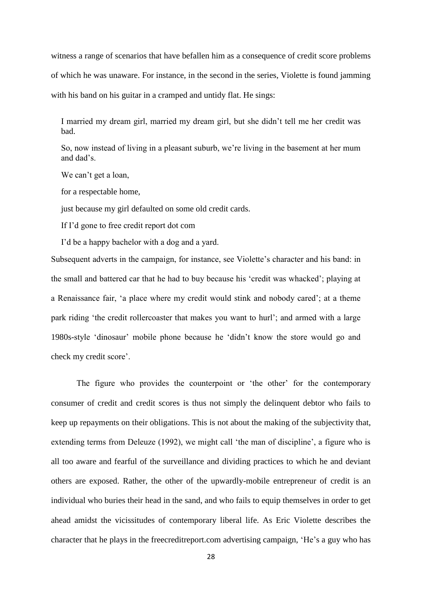witness a range of scenarios that have befallen him as a consequence of credit score problems of which he was unaware. For instance, in the second in the series, Violette is found jamming with his band on his guitar in a cramped and untidy flat. He sings:

I married my dream girl, married my dream girl, but she didn't tell me her credit was bad.

So, now instead of living in a pleasant suburb, we're living in the basement at her mum and dad's.

We can't get a loan,

for a respectable home,

just because my girl defaulted on some old credit cards.

If I'd gone to free credit report dot com

I'd be a happy bachelor with a dog and a yard.

Subsequent adverts in the campaign, for instance, see Violette's character and his band: in the small and battered car that he had to buy because his 'credit was whacked'; playing at a Renaissance fair, 'a place where my credit would stink and nobody cared'; at a theme park riding 'the credit rollercoaster that makes you want to hurl'; and armed with a large 1980s-style 'dinosaur' mobile phone because he 'didn't know the store would go and check my credit score'.

The figure who provides the counterpoint or 'the other' for the contemporary consumer of credit and credit scores is thus not simply the delinquent debtor who fails to keep up repayments on their obligations. This is not about the making of the subjectivity that, extending terms from Deleuze (1992), we might call 'the man of discipline', a figure who is all too aware and fearful of the surveillance and dividing practices to which he and deviant others are exposed. Rather, the other of the upwardly-mobile entrepreneur of credit is an individual who buries their head in the sand, and who fails to equip themselves in order to get ahead amidst the vicissitudes of contemporary liberal life. As Eric Violette describes the character that he plays in the freecreditreport.com advertising campaign, 'He's a guy who has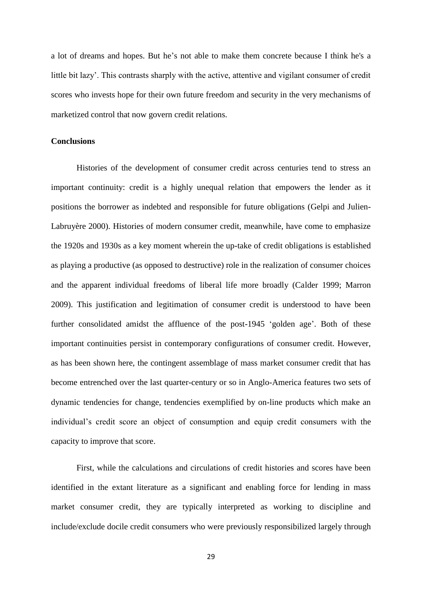a lot of dreams and hopes. But he's not able to make them concrete because I think he's a little bit lazy'. This contrasts sharply with the active, attentive and vigilant consumer of credit scores who invests hope for their own future freedom and security in the very mechanisms of marketized control that now govern credit relations.

### **Conclusions**

Histories of the development of consumer credit across centuries tend to stress an important continuity: credit is a highly unequal relation that empowers the lender as it positions the borrower as indebted and responsible for future obligations (Gelpi and Julien-Labruyère 2000). Histories of modern consumer credit, meanwhile, have come to emphasize the 1920s and 1930s as a key moment wherein the up-take of credit obligations is established as playing a productive (as opposed to destructive) role in the realization of consumer choices and the apparent individual freedoms of liberal life more broadly (Calder 1999; Marron 2009). This justification and legitimation of consumer credit is understood to have been further consolidated amidst the affluence of the post-1945 'golden age'. Both of these important continuities persist in contemporary configurations of consumer credit. However, as has been shown here, the contingent assemblage of mass market consumer credit that has become entrenched over the last quarter-century or so in Anglo-America features two sets of dynamic tendencies for change, tendencies exemplified by on-line products which make an individual's credit score an object of consumption and equip credit consumers with the capacity to improve that score.

First, while the calculations and circulations of credit histories and scores have been identified in the extant literature as a significant and enabling force for lending in mass market consumer credit, they are typically interpreted as working to discipline and include/exclude docile credit consumers who were previously responsibilized largely through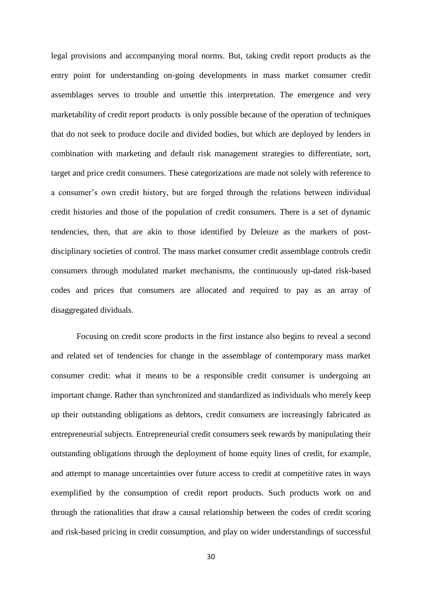legal provisions and accompanying moral norms. But, taking credit report products as the entry point for understanding on-going developments in mass market consumer credit assemblages serves to trouble and unsettle this interpretation. The emergence and very marketability of credit report products is only possible because of the operation of techniques that do not seek to produce docile and divided bodies, but which are deployed by lenders in combination with marketing and default risk management strategies to differentiate, sort, target and price credit consumers. These categorizations are made not solely with reference to a consumer's own credit history, but are forged through the relations between individual credit histories and those of the population of credit consumers. There is a set of dynamic tendencies, then, that are akin to those identified by Deleuze as the markers of postdisciplinary societies of control. The mass market consumer credit assemblage controls credit consumers through modulated market mechanisms, the continuously up-dated risk-based codes and prices that consumers are allocated and required to pay as an array of disaggregated dividuals.

Focusing on credit score products in the first instance also begins to reveal a second and related set of tendencies for change in the assemblage of contemporary mass market consumer credit: what it means to be a responsible credit consumer is undergoing an important change. Rather than synchronized and standardized as individuals who merely keep up their outstanding obligations as debtors, credit consumers are increasingly fabricated as entrepreneurial subjects. Entrepreneurial credit consumers seek rewards by manipulating their outstanding obligations through the deployment of home equity lines of credit, for example, and attempt to manage uncertainties over future access to credit at competitive rates in ways exemplified by the consumption of credit report products. Such products work on and through the rationalities that draw a causal relationship between the codes of credit scoring and risk-based pricing in credit consumption, and play on wider understandings of successful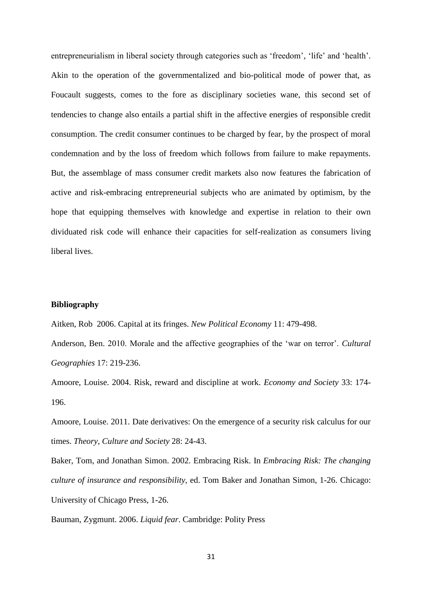entrepreneurialism in liberal society through categories such as 'freedom', 'life' and 'health'. Akin to the operation of the governmentalized and bio-political mode of power that, as Foucault suggests, comes to the fore as disciplinary societies wane, this second set of tendencies to change also entails a partial shift in the affective energies of responsible credit consumption. The credit consumer continues to be charged by fear, by the prospect of moral condemnation and by the loss of freedom which follows from failure to make repayments. But, the assemblage of mass consumer credit markets also now features the fabrication of active and risk-embracing entrepreneurial subjects who are animated by optimism, by the hope that equipping themselves with knowledge and expertise in relation to their own dividuated risk code will enhance their capacities for self-realization as consumers living liberal lives.

# **Bibliography**

Aitken, Rob 2006. Capital at its fringes. *New Political Economy* 11: 479-498.

Anderson, Ben. 2010. Morale and the affective geographies of the 'war on terror'. *Cultural Geographies* 17: 219-236.

Amoore, Louise. 2004. Risk, reward and discipline at work. *Economy and Society* 33: 174- 196.

Amoore, Louise. 2011. Date derivatives: On the emergence of a security risk calculus for our times. *Theory, Culture and Society* 28: 24-43.

Baker, Tom, and Jonathan Simon. 2002. Embracing Risk. In *Embracing Risk: The changing culture of insurance and responsibility*, ed. Tom Baker and Jonathan Simon, 1-26. Chicago: University of Chicago Press, 1-26.

Bauman, Zygmunt. 2006. *Liquid fear*. Cambridge: Polity Press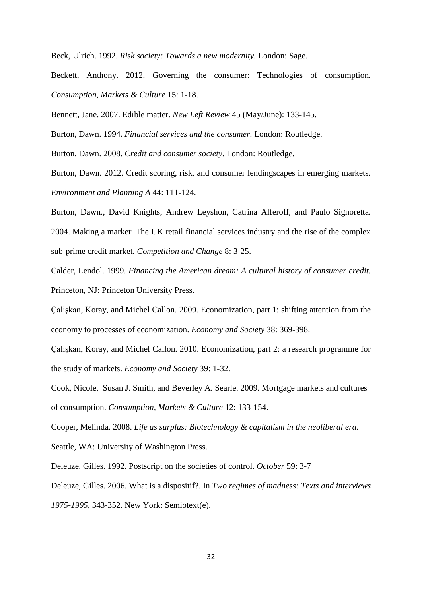Beck, Ulrich. 1992. *Risk society: Towards a new modernity.* London: Sage.

Beckett, Anthony. 2012. Governing the consumer: Technologies of consumption. *Consumption, Markets & Culture* 15: 1-18.

Bennett, Jane. 2007. Edible matter. *New Left Review* 45 (May/June): 133-145.

Burton, Dawn. 1994. *Financial services and the consumer*. London: Routledge.

Burton, Dawn. 2008. *Credit and consumer society*. London: Routledge.

Burton, Dawn. 2012. Credit scoring, risk, and consumer lendingscapes in emerging markets. *Environment and Planning A* 44: 111-124.

Burton, Dawn., David Knights, Andrew Leyshon, Catrina Alferoff, and Paulo Signoretta. 2004. Making a market: The UK retail financial services industry and the rise of the complex sub-prime credit market. *Competition and Change* 8: 3-25.

Calder, Lendol. 1999. *Financing the American dream: A cultural history of consumer credit*. Princeton, NJ: Princeton University Press.

Ҫalişkan, Koray, and Michel Callon. 2009. Economization, part 1: shifting attention from the economy to processes of economization. *Economy and Society* 38: 369-398.

Ҫalişkan, Koray, and Michel Callon. 2010. Economization, part 2: a research programme for the study of markets. *Economy and Society* 39: 1-32.

Cook, Nicole, Susan J. Smith, and Beverley A. Searle. 2009. Mortgage markets and cultures of consumption. *Consumption, Markets & Culture* 12: 133-154.

Cooper, Melinda. 2008. *Life as surplus: Biotechnology & capitalism in the neoliberal era*. Seattle, WA: University of Washington Press.

Deleuze. Gilles. 1992. Postscript on the societies of control. *October* 59: 3-7

Deleuze, Gilles. 2006. What is a dispositif?. In *Two regimes of madness: Texts and interviews 1975-1995*, 343-352. New York: Semiotext(e).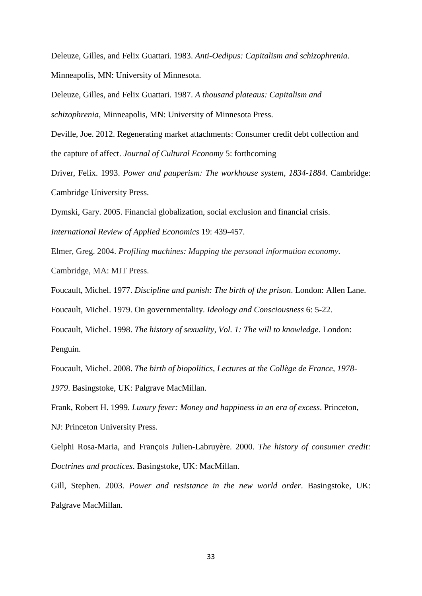Deleuze, Gilles, and Felix Guattari. 1983. *Anti-Oedipus: Capitalism and schizophrenia*. Minneapolis, MN: University of Minnesota.

Deleuze, Gilles, and Felix Guattari. 1987. *A thousand plateaus: Capitalism and schizophrenia*, Minneapolis, MN: University of Minnesota Press.

Deville, Joe. 2012. Regenerating market attachments: Consumer credit debt collection and the capture of affect. *Journal of Cultural Economy* 5: forthcoming

Driver, Felix. 1993. *Power and pauperism: The workhouse system, 1834-1884*. Cambridge: Cambridge University Press.

Dymski, Gary. 2005. Financial globalization, social exclusion and financial crisis.

*International Review of Applied Economics* 19: 439-457.

Elmer, Greg. 2004. *Profiling machines: Mapping the personal information economy*.

Cambridge, MA: MIT Press.

Foucault, Michel. 1977. *Discipline and punish: The birth of the prison*. London: Allen Lane.

Foucault, Michel. 1979. On governmentality. *Ideology and Consciousness* 6: 5-22.

Foucault, Michel. 1998. *The history of sexuality, Vol. 1: The will to knowledge*. London: Penguin.

Foucault, Michel. 2008. *The birth of biopolitics, Lectures at the Collège de France, 1978- 1979*. Basingstoke, UK: Palgrave MacMillan.

Frank, Robert H. 1999. *Luxury fever: Money and happiness in an era of excess*. Princeton, NJ: Princeton University Press.

Gelphi Rosa-Maria, and François Julien-Labruyère. 2000. *The history of consumer credit: Doctrines and practices*. Basingstoke, UK: MacMillan.

Gill, Stephen. 2003. *Power and resistance in the new world order*. Basingstoke, UK: Palgrave MacMillan.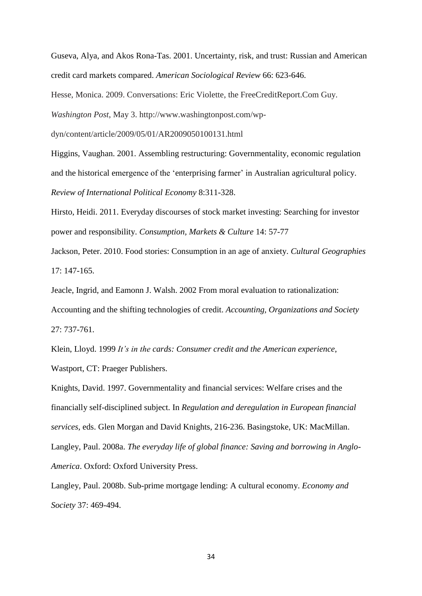Guseva, Alya, and Akos Rona-Tas. 2001. Uncertainty, risk, and trust: Russian and American credit card markets compared. *American Sociological Review* 66: 623-646.

Hesse, Monica. 2009. Conversations: Eric Violette, the FreeCreditReport.Com Guy.

*Washington Post*, May 3. http://www.washingtonpost.com/wp-

dyn/content/article/2009/05/01/AR2009050100131.html

Higgins, Vaughan. 2001. Assembling restructuring: Governmentality, economic regulation and the historical emergence of the 'enterprising farmer' in Australian agricultural policy. *Review of International Political Economy* 8:311-328.

Hirsto, Heidi. 2011. Everyday discourses of stock market investing: Searching for investor power and responsibility. *Consumption, Markets & Culture* 14: 57-77

Jackson, Peter. 2010. Food stories: Consumption in an age of anxiety. *Cultural Geographies* 17: 147-165.

Jeacle, Ingrid, and Eamonn J. Walsh. 2002 From moral evaluation to rationalization: Accounting and the shifting technologies of credit. *Accounting, Organizations and Society* 27: 737-761.

Klein, Lloyd. 1999 *It's in the cards: Consumer credit and the American experience*,

Wastport, CT: Praeger Publishers.

Knights, David. 1997. Governmentality and financial services: Welfare crises and the financially self-disciplined subject. In *Regulation and deregulation in European financial services,* eds. Glen Morgan and David Knights, 216-236. Basingstoke, UK: MacMillan. Langley, Paul. 2008a. *The everyday life of global finance: Saving and borrowing in Anglo-America*. Oxford: Oxford University Press.

Langley, Paul. 2008b. Sub-prime mortgage lending: A cultural economy. *Economy and Society* 37: 469-494.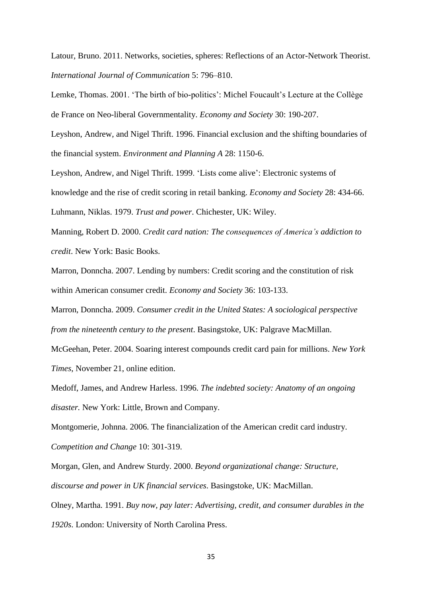Latour, Bruno. 2011. Networks, societies, spheres: Reflections of an Actor-Network Theorist. *International Journal of Communication* 5: 796–810.

Lemke, Thomas. 2001. 'The birth of bio-politics': Michel Foucault's Lecture at the Collège de France on Neo-liberal Governmentality. *Economy and Society* 30: 190-207.

Leyshon, Andrew, and Nigel Thrift. 1996. Financial exclusion and the shifting boundaries of the financial system. *Environment and Planning A* 28: 1150-6.

Leyshon, Andrew, and Nigel Thrift. 1999. 'Lists come alive': Electronic systems of knowledge and the rise of credit scoring in retail banking. *Economy and Society* 28: 434-66. Luhmann, Niklas. 1979. *Trust and power*. Chichester, UK: Wiley.

Manning, Robert D. 2000. *Credit card nation: The consequences of America's addiction to credit*. New York: Basic Books.

Marron, Donncha. 2007. Lending by numbers: Credit scoring and the constitution of risk within American consumer credit. *Economy and Society* 36: 103-133.

Marron, Donncha. 2009. *Consumer credit in the United States: A sociological perspective from the nineteenth century to the present*. Basingstoke, UK: Palgrave MacMillan.

McGeehan, Peter. 2004. Soaring interest compounds credit card pain for millions. *New York Times*, November 21, online edition.

Medoff, James, and Andrew Harless. 1996. *The indebted society: Anatomy of an ongoing disaster.* New York: Little, Brown and Company.

Montgomerie, Johnna. 2006. The financialization of the American credit card industry. *Competition and Change* 10: 301-319.

Morgan, Glen, and Andrew Sturdy. 2000. *Beyond organizational change: Structure, discourse and power in UK financial services*. Basingstoke, UK: MacMillan.

Olney, Martha. 1991. *Buy now, pay later: Advertising, credit, and consumer durables in the 1920s*. London: University of North Carolina Press.